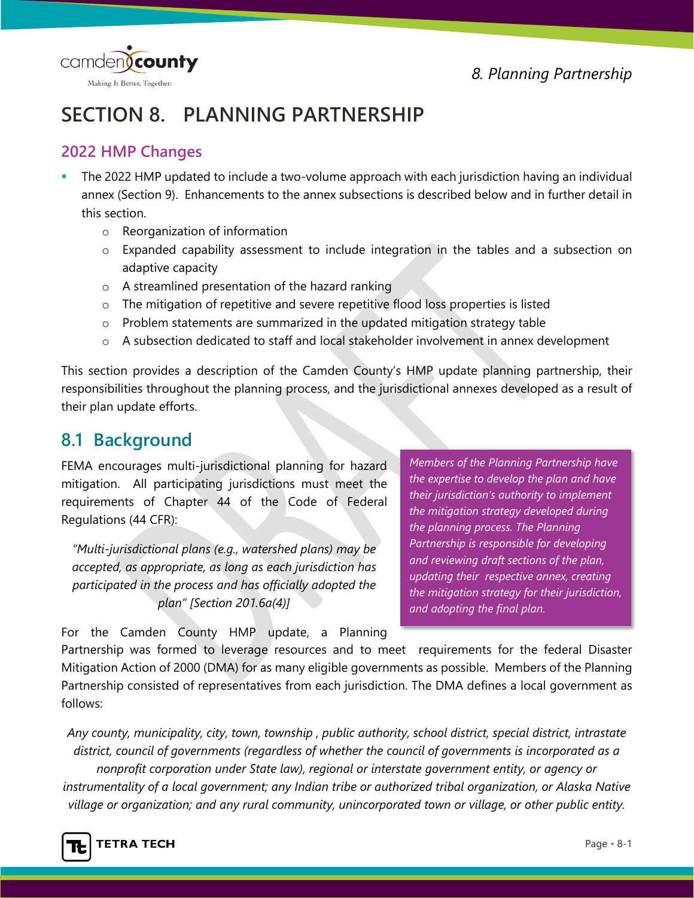camden(county Making It Better, Together.

*8. Planning Partnership*

# **SECTION 8. PLANNING PARTNERSHIP**

#### **2022 HMP Changes**

- The 2022 HMP updated to include a two-volume approach with each jurisdiction having an individual annex (Section 9). Enhancements to the annex subsections is described below and in further detail in this section.
	- o Reorganization of information
	- $\circ$  Expanded capability assessment to include integration in the tables and a subsection on adaptive capacity
	- o A streamlined presentation of the hazard ranking
	- o The mitigation of repetitive and severe repetitive flood loss properties is listed
	- o Problem statements are summarized in the updated mitigation strategy table
	- o A subsection dedicated to staff and local stakeholder involvement in annex development

This section provides a description of the Camden County's HMP update planning partnership, their responsibilities throughout the planning process, and the jurisdictional annexes developed as a result of their plan update efforts.

# **8.1 Background**

FEMA encourages multi-jurisdictional planning for hazard mitigation. All participating jurisdictions must meet the requirements of Chapter 44 of the Code of Federal Regulations (44 CFR):

*"Multi-jurisdictional plans (e.g., watershed plans) may be accepted, as appropriate, as long as each jurisdiction has participated in the process and has officially adopted the plan" [Section 201.6a(4)]* 

*Members of the Planning Partnership have the expertise to develop the plan and have their jurisdiction's authority to implement the mitigation strategy developed during the planning process. The Planning Partnership is responsible for developing and reviewing draft sections of the plan, updating their respective annex, creating the mitigation strategy for their jurisdiction, and adopting the final plan.* 

For the Camden County HMP update, a Planning

Partnership was formed to leverage resources and to meet requirements for the federal Disaster Mitigation Action of 2000 (DMA) for as many eligible governments as possible. Members of the Planning Partnership consisted of representatives from each jurisdiction. The DMA defines a local government as follows:

*Any county, municipality, city, town, township , public authority, school district, special district, intrastate district, council of governments (regardless of whether the council of governments is incorporated as a nonprofit corporation under State law), regional or interstate government entity, or agency or instrumentality of a local government; any Indian tribe or authorized tribal organization, or Alaska Native village or organization; and any rural community, unincorporated town or village, or other public entity.* 

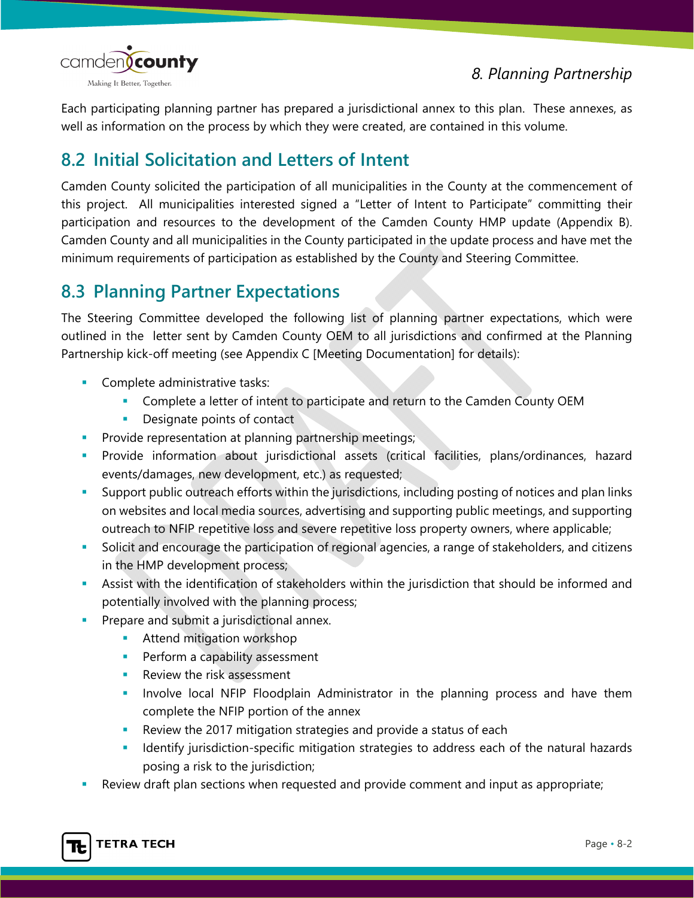



Each participating planning partner has prepared a jurisdictional annex to this plan. These annexes, as well as information on the process by which they were created, are contained in this volume.

# **8.2 Initial Solicitation and Letters of Intent**

Camden County solicited the participation of all municipalities in the County at the commencement of this project. All municipalities interested signed a "Letter of Intent to Participate" committing their participation and resources to the development of the Camden County HMP update (Appendix B). Camden County and all municipalities in the County participated in the update process and have met the minimum requirements of participation as established by the County and Steering Committee.

# **8.3 Planning Partner Expectations**

The Steering Committee developed the following list of planning partner expectations, which were outlined in the letter sent by Camden County OEM to all jurisdictions and confirmed at the Planning Partnership kick-off meeting (see Appendix C [Meeting Documentation] for details):

- Complete administrative tasks:
	- **Complete a letter of intent to participate and return to the Camden County OEM**
	- **Designate points of contact**
- **Provide representation at planning partnership meetings;**
- Provide information about jurisdictional assets (critical facilities, plans/ordinances, hazard events/damages, new development, etc.) as requested;
- Support public outreach efforts within the jurisdictions, including posting of notices and plan links on websites and local media sources, advertising and supporting public meetings, and supporting outreach to NFIP repetitive loss and severe repetitive loss property owners, where applicable;
- Solicit and encourage the participation of regional agencies, a range of stakeholders, and citizens in the HMP development process;
- Assist with the identification of stakeholders within the jurisdiction that should be informed and potentially involved with the planning process;
- Prepare and submit a jurisdictional annex.
	- **Attend mitigation workshop**
	- **Perform a capability assessment**
	- **Review the risk assessment**
	- **Involve local NFIP Floodplain Administrator in the planning process and have them** complete the NFIP portion of the annex
	- Review the 2017 mitigation strategies and provide a status of each
	- **Indentify jurisdiction-specific mitigation strategies to address each of the natural hazards** posing a risk to the jurisdiction;
- Review draft plan sections when requested and provide comment and input as appropriate;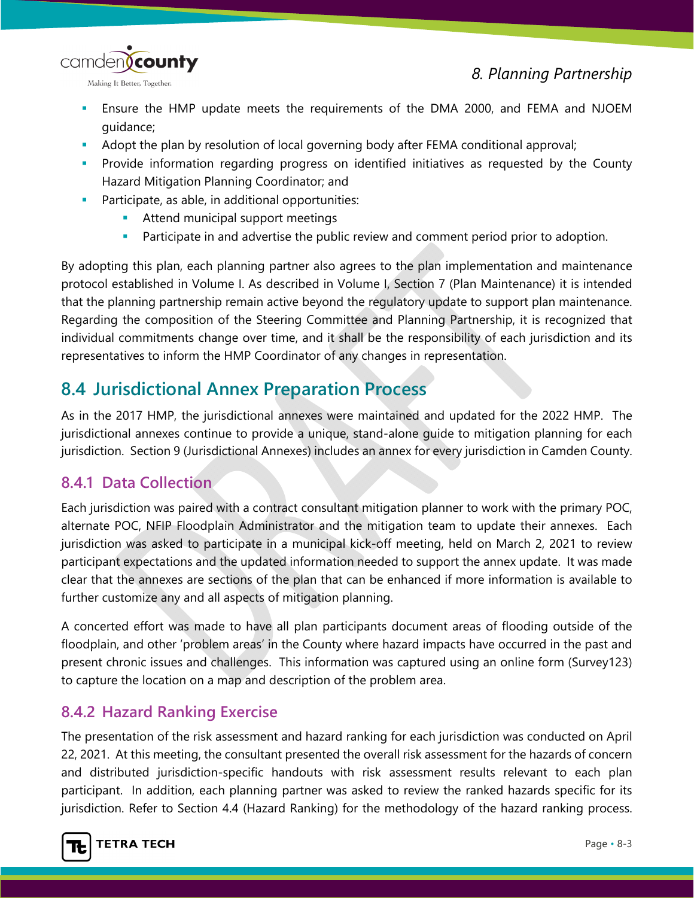

- Ensure the HMP update meets the requirements of the DMA 2000, and FEMA and NJOEM guidance;
- Adopt the plan by resolution of local governing body after FEMA conditional approval;
- Provide information regarding progress on identified initiatives as requested by the County Hazard Mitigation Planning Coordinator; and
- **Participate, as able, in additional opportunities:** 
	- **Attend municipal support meetings**
	- **Participate in and advertise the public review and comment period prior to adoption.**

By adopting this plan, each planning partner also agrees to the plan implementation and maintenance protocol established in Volume I. As described in Volume I, Section 7 (Plan Maintenance) it is intended that the planning partnership remain active beyond the regulatory update to support plan maintenance. Regarding the composition of the Steering Committee and Planning Partnership, it is recognized that individual commitments change over time, and it shall be the responsibility of each jurisdiction and its representatives to inform the HMP Coordinator of any changes in representation.

# **8.4 Jurisdictional Annex Preparation Process**

As in the 2017 HMP, the jurisdictional annexes were maintained and updated for the 2022 HMP. The jurisdictional annexes continue to provide a unique, stand-alone guide to mitigation planning for each jurisdiction. Section 9 (Jurisdictional Annexes) includes an annex for every jurisdiction in Camden County.

## **8.4.1 Data Collection**

Each jurisdiction was paired with a contract consultant mitigation planner to work with the primary POC, alternate POC, NFIP Floodplain Administrator and the mitigation team to update their annexes. Each jurisdiction was asked to participate in a municipal kick-off meeting, held on March 2, 2021 to review participant expectations and the updated information needed to support the annex update. It was made clear that the annexes are sections of the plan that can be enhanced if more information is available to further customize any and all aspects of mitigation planning.

A concerted effort was made to have all plan participants document areas of flooding outside of the floodplain, and other 'problem areas' in the County where hazard impacts have occurred in the past and present chronic issues and challenges. This information was captured using an online form (Survey123) to capture the location on a map and description of the problem area.

## **8.4.2 Hazard Ranking Exercise**

The presentation of the risk assessment and hazard ranking for each jurisdiction was conducted on April 22, 2021. At this meeting, the consultant presented the overall risk assessment for the hazards of concern and distributed jurisdiction-specific handouts with risk assessment results relevant to each plan participant. In addition, each planning partner was asked to review the ranked hazards specific for its jurisdiction. Refer to Section 4.4 (Hazard Ranking) for the methodology of the hazard ranking process.

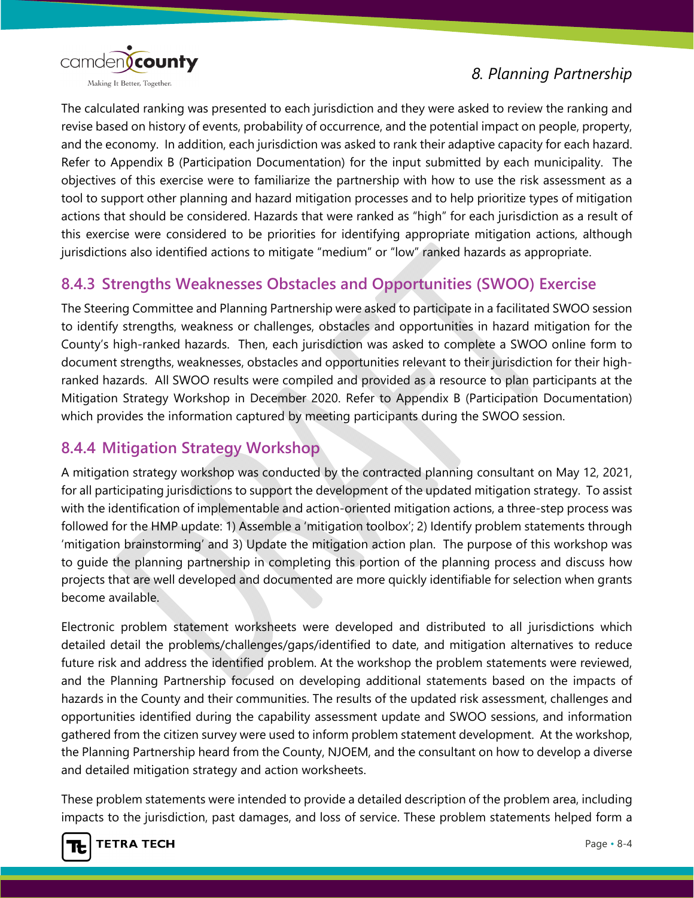

The calculated ranking was presented to each jurisdiction and they were asked to review the ranking and revise based on history of events, probability of occurrence, and the potential impact on people, property, and the economy. In addition, each jurisdiction was asked to rank their adaptive capacity for each hazard. Refer to Appendix B (Participation Documentation) for the input submitted by each municipality. The objectives of this exercise were to familiarize the partnership with how to use the risk assessment as a tool to support other planning and hazard mitigation processes and to help prioritize types of mitigation actions that should be considered. Hazards that were ranked as "high" for each jurisdiction as a result of this exercise were considered to be priorities for identifying appropriate mitigation actions, although jurisdictions also identified actions to mitigate "medium" or "low" ranked hazards as appropriate.

### **8.4.3 Strengths Weaknesses Obstacles and Opportunities (SWOO) Exercise**

The Steering Committee and Planning Partnership were asked to participate in a facilitated SWOO session to identify strengths, weakness or challenges, obstacles and opportunities in hazard mitigation for the County's high-ranked hazards. Then, each jurisdiction was asked to complete a SWOO online form to document strengths, weaknesses, obstacles and opportunities relevant to their jurisdiction for their highranked hazards. All SWOO results were compiled and provided as a resource to plan participants at the Mitigation Strategy Workshop in December 2020. Refer to Appendix B (Participation Documentation) which provides the information captured by meeting participants during the SWOO session.

### **8.4.4 Mitigation Strategy Workshop**

A mitigation strategy workshop was conducted by the contracted planning consultant on May 12, 2021, for all participating jurisdictions to support the development of the updated mitigation strategy. To assist with the identification of implementable and action-oriented mitigation actions, a three-step process was followed for the HMP update: 1) Assemble a 'mitigation toolbox'; 2) Identify problem statements through 'mitigation brainstorming' and 3) Update the mitigation action plan. The purpose of this workshop was to guide the planning partnership in completing this portion of the planning process and discuss how projects that are well developed and documented are more quickly identifiable for selection when grants become available.

Electronic problem statement worksheets were developed and distributed to all jurisdictions which detailed detail the problems/challenges/gaps/identified to date, and mitigation alternatives to reduce future risk and address the identified problem. At the workshop the problem statements were reviewed, and the Planning Partnership focused on developing additional statements based on the impacts of hazards in the County and their communities. The results of the updated risk assessment, challenges and opportunities identified during the capability assessment update and SWOO sessions, and information gathered from the citizen survey were used to inform problem statement development. At the workshop, the Planning Partnership heard from the County, NJOEM, and the consultant on how to develop a diverse and detailed mitigation strategy and action worksheets.

These problem statements were intended to provide a detailed description of the problem area, including impacts to the jurisdiction, past damages, and loss of service. These problem statements helped form a

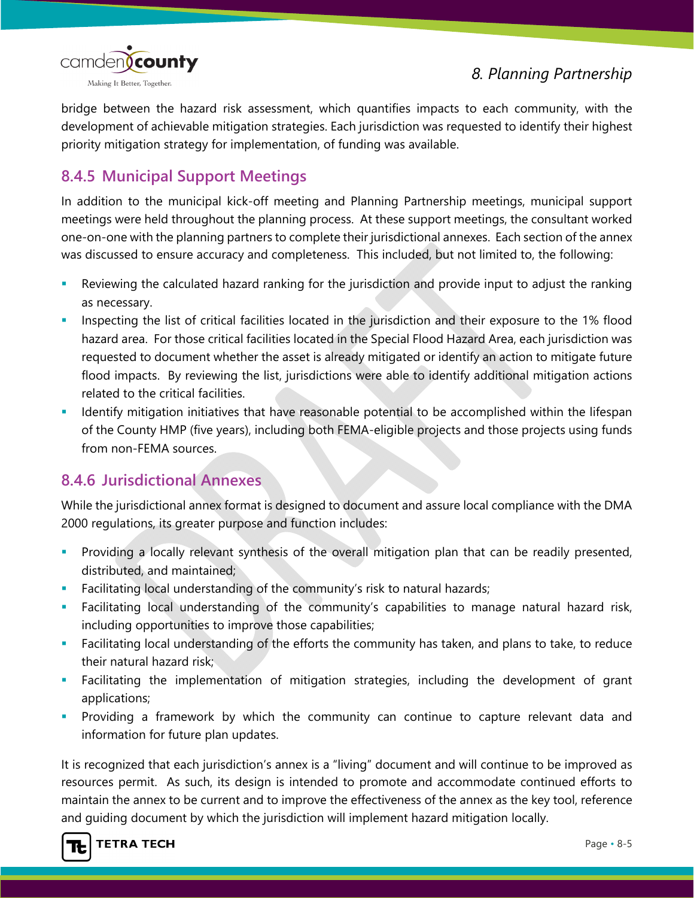

bridge between the hazard risk assessment, which quantifies impacts to each community, with the development of achievable mitigation strategies. Each jurisdiction was requested to identify their highest priority mitigation strategy for implementation, of funding was available.

# **8.4.5 Municipal Support Meetings**

In addition to the municipal kick-off meeting and Planning Partnership meetings, municipal support meetings were held throughout the planning process. At these support meetings, the consultant worked one-on-one with the planning partners to complete their jurisdictional annexes. Each section of the annex was discussed to ensure accuracy and completeness. This included, but not limited to, the following:

- Reviewing the calculated hazard ranking for the jurisdiction and provide input to adjust the ranking as necessary.
- Inspecting the list of critical facilities located in the jurisdiction and their exposure to the 1% flood hazard area. For those critical facilities located in the Special Flood Hazard Area, each jurisdiction was requested to document whether the asset is already mitigated or identify an action to mitigate future flood impacts. By reviewing the list, jurisdictions were able to identify additional mitigation actions related to the critical facilities.
- Identify mitigation initiatives that have reasonable potential to be accomplished within the lifespan of the County HMP (five years), including both FEMA-eligible projects and those projects using funds from non-FEMA sources.

#### **8.4.6 Jurisdictional Annexes**

While the jurisdictional annex format is designed to document and assure local compliance with the DMA 2000 regulations, its greater purpose and function includes:

- **Providing a locally relevant synthesis of the overall mitigation plan that can be readily presented,** distributed, and maintained;
- Facilitating local understanding of the community's risk to natural hazards;
- Facilitating local understanding of the community's capabilities to manage natural hazard risk, including opportunities to improve those capabilities;
- Facilitating local understanding of the efforts the community has taken, and plans to take, to reduce their natural hazard risk;
- Facilitating the implementation of mitigation strategies, including the development of grant applications;
- **Providing a framework by which the community can continue to capture relevant data and** information for future plan updates.

It is recognized that each jurisdiction's annex is a "living" document and will continue to be improved as resources permit. As such, its design is intended to promote and accommodate continued efforts to maintain the annex to be current and to improve the effectiveness of the annex as the key tool, reference and guiding document by which the jurisdiction will implement hazard mitigation locally.

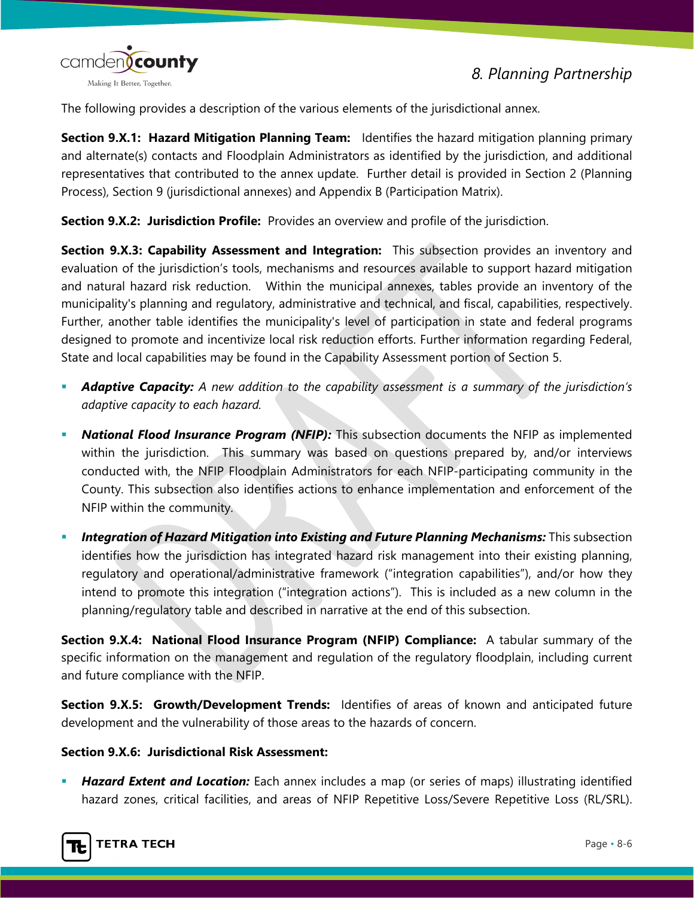

The following provides a description of the various elements of the jurisdictional annex.

**Section 9.X.1: Hazard Mitigation Planning Team:** Identifies the hazard mitigation planning primary and alternate(s) contacts and Floodplain Administrators as identified by the jurisdiction, and additional representatives that contributed to the annex update. Further detail is provided in Section 2 (Planning Process), Section 9 (jurisdictional annexes) and Appendix B (Participation Matrix).

**Section 9.X.2: Jurisdiction Profile:** Provides an overview and profile of the jurisdiction.

**Section 9.X.3: Capability Assessment and Integration:** This subsection provides an inventory and evaluation of the jurisdiction's tools, mechanisms and resources available to support hazard mitigation and natural hazard risk reduction. Within the municipal annexes, tables provide an inventory of the municipality's planning and regulatory, administrative and technical, and fiscal, capabilities, respectively. Further, another table identifies the municipality's level of participation in state and federal programs designed to promote and incentivize local risk reduction efforts. Further information regarding Federal, State and local capabilities may be found in the Capability Assessment portion of Section 5.

- *Adaptive Capacity: A new addition to the capability assessment is a summary of the jurisdiction's adaptive capacity to each hazard.*
- *National Flood Insurance Program (NFIP):* This subsection documents the NFIP as implemented within the jurisdiction. This summary was based on questions prepared by, and/or interviews conducted with, the NFIP Floodplain Administrators for each NFIP-participating community in the County. This subsection also identifies actions to enhance implementation and enforcement of the NFIP within the community.
- *Integration of Hazard Mitigation into Existing and Future Planning Mechanisms:* This subsection identifies how the jurisdiction has integrated hazard risk management into their existing planning, regulatory and operational/administrative framework ("integration capabilities"), and/or how they intend to promote this integration ("integration actions"). This is included as a new column in the planning/regulatory table and described in narrative at the end of this subsection.

**Section 9.X.4: National Flood Insurance Program (NFIP) Compliance:** A tabular summary of the specific information on the management and regulation of the regulatory floodplain, including current and future compliance with the NFIP.

**Section 9.X.5: Growth/Development Trends:** Identifies of areas of known and anticipated future development and the vulnerability of those areas to the hazards of concern.

#### **Section 9.X.6: Jurisdictional Risk Assessment:**

 *Hazard Extent and Location:* Each annex includes a map (or series of maps) illustrating identified hazard zones, critical facilities, and areas of NFIP Repetitive Loss/Severe Repetitive Loss (RL/SRL).

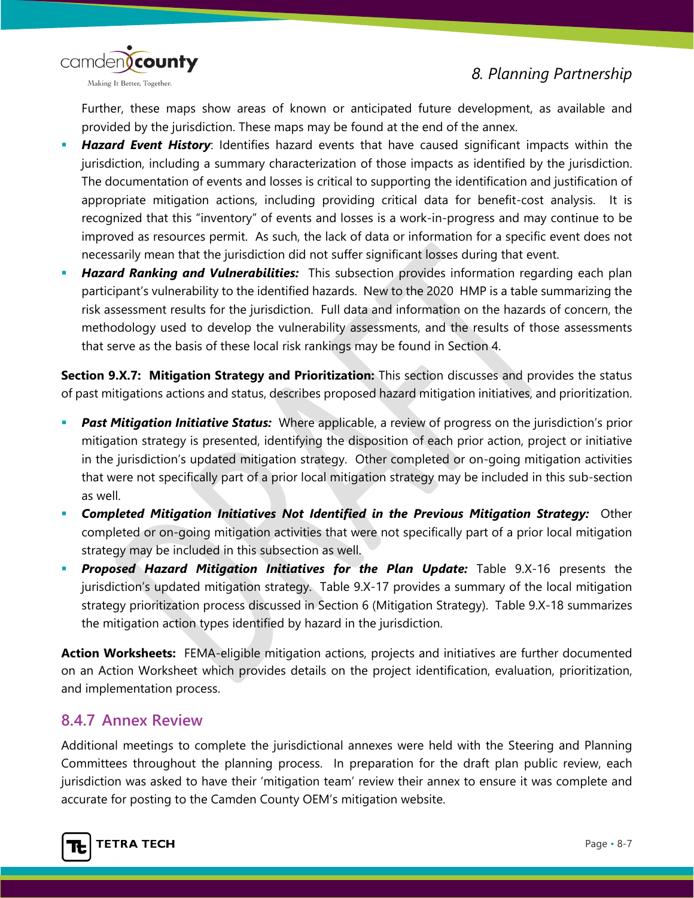

Further, these maps show areas of known or anticipated future development, as available and provided by the jurisdiction. These maps may be found at the end of the annex.

- *Hazard Event History*: Identifies hazard events that have caused significant impacts within the jurisdiction, including a summary characterization of those impacts as identified by the jurisdiction. The documentation of events and losses is critical to supporting the identification and justification of appropriate mitigation actions, including providing critical data for benefit-cost analysis. It is recognized that this "inventory" of events and losses is a work-in-progress and may continue to be improved as resources permit. As such, the lack of data or information for a specific event does not necessarily mean that the jurisdiction did not suffer significant losses during that event.
- *Hazard Ranking and Vulnerabilities:*This subsection provides information regarding each plan participant's vulnerability to the identified hazards. New to the 2020 HMP is a table summarizing the risk assessment results for the jurisdiction. Full data and information on the hazards of concern, the methodology used to develop the vulnerability assessments, and the results of those assessments that serve as the basis of these local risk rankings may be found in Section 4.

**Section 9.X.7: Mitigation Strategy and Prioritization:** This section discusses and provides the status of past mitigations actions and status, describes proposed hazard mitigation initiatives, and prioritization.

- *Past Mitigation Initiative Status:* Where applicable, a review of progress on the jurisdiction's prior mitigation strategy is presented, identifying the disposition of each prior action, project or initiative in the jurisdiction's updated mitigation strategy. Other completed or on-going mitigation activities that were not specifically part of a prior local mitigation strategy may be included in this sub-section as well.
- *Completed Mitigation Initiatives Not Identified in the Previous Mitigation Strategy:* Other completed or on-going mitigation activities that were not specifically part of a prior local mitigation strategy may be included in this subsection as well.
- *Proposed Hazard Mitigation Initiatives for the Plan Update:* Table 9.X-16 presents the jurisdiction's updated mitigation strategy. Table 9.X-17 provides a summary of the local mitigation strategy prioritization process discussed in Section 6 (Mitigation Strategy). Table 9.X-18 summarizes the mitigation action types identified by hazard in the jurisdiction.

**Action Worksheets:** FEMA-eligible mitigation actions, projects and initiatives are further documented on an Action Worksheet which provides details on the project identification, evaluation, prioritization, and implementation process.

#### **8.4.7 Annex Review**

Additional meetings to complete the jurisdictional annexes were held with the Steering and Planning Committees throughout the planning process. In preparation for the draft plan public review, each jurisdiction was asked to have their 'mitigation team' review their annex to ensure it was complete and accurate for posting to the Camden County OEM's mitigation website.

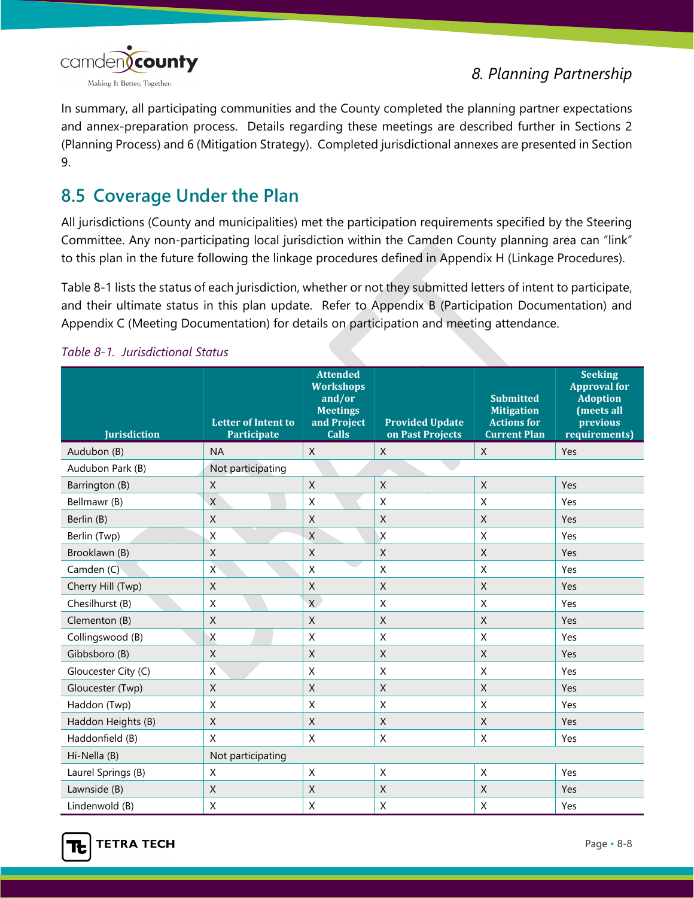

In summary, all participating communities and the County completed the planning partner expectations and annex-preparation process. Details regarding these meetings are described further in Sections 2 (Planning Process) and 6 (Mitigation Strategy). Completed jurisdictional annexes are presented in Section 9.

# **8.5 Coverage Under the Plan**

All jurisdictions (County and municipalities) met the participation requirements specified by the Steering Committee. Any non-participating local jurisdiction within the Camden County planning area can "link" to this plan in the future following the linkage procedures defined in Appendix H (Linkage Procedures).

Table 8-1 lists the status of each jurisdiction, whether or not they submitted letters of intent to participate, and their ultimate status in this plan update. Refer to Appendix B (Participation Documentation) and Appendix C (Meeting Documentation) for details on participation and meeting attendance.

| <b>Jurisdiction</b> | <b>Letter of Intent to</b><br><b>Participate</b> | <b>Attended</b><br><b>Workshops</b><br>and/or<br><b>Meetings</b><br>and Project<br><b>Calls</b> | <b>Provided Update</b><br>on Past Projects | <b>Submitted</b><br><b>Mitigation</b><br><b>Actions for</b><br><b>Current Plan</b> | <b>Seeking</b><br><b>Approval for</b><br><b>Adoption</b><br>(meets all<br>previous<br>requirements) |  |  |
|---------------------|--------------------------------------------------|-------------------------------------------------------------------------------------------------|--------------------------------------------|------------------------------------------------------------------------------------|-----------------------------------------------------------------------------------------------------|--|--|
| Audubon (B)         | <b>NA</b>                                        | $\mathsf{X}$                                                                                    | $\mathsf{X}$                               | $\mathsf{X}$                                                                       | Yes                                                                                                 |  |  |
| Audubon Park (B)    | Not participating                                |                                                                                                 |                                            |                                                                                    |                                                                                                     |  |  |
| Barrington (B)      | X                                                | $\mathsf{X}$                                                                                    | $\mathsf{X}$                               | $\mathsf{X}$                                                                       | Yes                                                                                                 |  |  |
| Bellmawr (B)        | X                                                | X                                                                                               | X                                          | X                                                                                  | Yes                                                                                                 |  |  |
| Berlin (B)          | $\mathsf X$                                      | $\mathsf X$                                                                                     | X                                          | $\mathsf X$                                                                        | Yes                                                                                                 |  |  |
| Berlin (Twp)        | $\sf X$                                          | $\mathsf X$                                                                                     | $\overline{X}$                             | X                                                                                  | Yes                                                                                                 |  |  |
| Brooklawn (B)       | X                                                | $\mathsf X$                                                                                     | X                                          | X                                                                                  | Yes                                                                                                 |  |  |
| Camden (C)          | $\overline{X}$                                   | X                                                                                               | X                                          | X                                                                                  | Yes                                                                                                 |  |  |
| Cherry Hill (Twp)   | $\sf X$                                          | $\mathsf X$                                                                                     | $\mathsf{X}$                               | $\mathsf X$                                                                        | Yes                                                                                                 |  |  |
| Chesilhurst (B)     | X                                                | $\mathsf{X}$                                                                                    | X                                          | $\sf X$                                                                            | Yes                                                                                                 |  |  |
| Clementon (B)       | $\mathsf{X}$                                     | X                                                                                               | X                                          | X                                                                                  | Yes                                                                                                 |  |  |
| Collingswood (B)    | Χ                                                | $\mathsf X$                                                                                     | $\boldsymbol{\mathsf{X}}$                  | $\mathsf X$                                                                        | Yes                                                                                                 |  |  |
| Gibbsboro (B)       | $\mathsf{X}$                                     | $\mathsf{X}$                                                                                    | $\sf X$                                    | $\sf X$                                                                            | Yes                                                                                                 |  |  |
| Gloucester City (C) | X                                                | $\mathsf X$                                                                                     | X                                          | $\sf X$                                                                            | Yes                                                                                                 |  |  |
| Gloucester (Twp)    | $\mathsf{X}$                                     | $\mathsf{X}$                                                                                    | $\mathsf{X}$                               | $\mathsf{X}$                                                                       | Yes                                                                                                 |  |  |
| Haddon (Twp)        | X                                                | X                                                                                               | X                                          | X                                                                                  | Yes                                                                                                 |  |  |
| Haddon Heights (B)  | $\mathsf X$                                      | $\mathsf X$                                                                                     | X                                          | $\sf X$                                                                            | Yes                                                                                                 |  |  |
| Haddonfield (B)     | X                                                | X                                                                                               | $\boldsymbol{\mathsf{X}}$                  | X                                                                                  | Yes                                                                                                 |  |  |
| Hi-Nella (B)        | Not participating                                |                                                                                                 |                                            |                                                                                    |                                                                                                     |  |  |
| Laurel Springs (B)  | X                                                | X                                                                                               | X                                          | $\sf X$                                                                            | Yes                                                                                                 |  |  |
| Lawnside (B)        | $\mathsf{X}$                                     | X                                                                                               | X                                          | X                                                                                  | Yes                                                                                                 |  |  |
| Lindenwold (B)      | $\mathsf X$                                      | $\mathsf X$                                                                                     | $\mathsf X$                                | X                                                                                  | Yes                                                                                                 |  |  |

#### *Table 8-1. Jurisdictional Status*